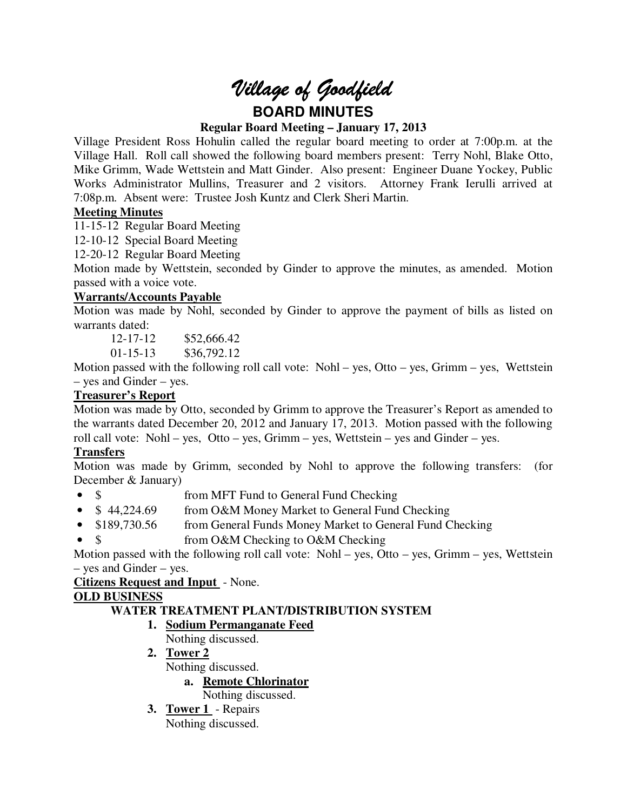# *Village of Goodfield* **BOARD MINUTES**

## **Regular Board Meeting – January 17, 2013**

Village President Ross Hohulin called the regular board meeting to order at 7:00p.m. at the Village Hall. Roll call showed the following board members present: Terry Nohl, Blake Otto, Mike Grimm, Wade Wettstein and Matt Ginder. Also present: Engineer Duane Yockey, Public Works Administrator Mullins, Treasurer and 2 visitors. Attorney Frank Ierulli arrived at 7:08p.m. Absent were: Trustee Josh Kuntz and Clerk Sheri Martin.

# **Meeting Minutes**

11-15-12 Regular Board Meeting

12-10-12 Special Board Meeting

12-20-12 Regular Board Meeting

Motion made by Wettstein, seconded by Ginder to approve the minutes, as amended. Motion passed with a voice vote.

# **Warrants/Accounts Payable**

Motion was made by Nohl, seconded by Ginder to approve the payment of bills as listed on warrants dated:

12-17-12 \$52,666.42

01-15-13 \$36,792.12

Motion passed with the following roll call vote: Nohl – yes, Otto – yes, Grimm – yes, Wettstein – yes and Ginder – yes.

# **Treasurer's Report**

Motion was made by Otto, seconded by Grimm to approve the Treasurer's Report as amended to the warrants dated December 20, 2012 and January 17, 2013. Motion passed with the following roll call vote: Nohl – yes, Otto – yes, Grimm – yes, Wettstein – yes and Ginder – yes.

# **Transfers**

Motion was made by Grimm, seconded by Nohl to approve the following transfers: (for December & January)

- \$ from MFT Fund to General Fund Checking
- \$44,224.69 from O&M Money Market to General Fund Checking
- \$189,730.56 from General Funds Money Market to General Fund Checking
- \$ from O&M Checking to O&M Checking

Motion passed with the following roll call vote: Nohl – yes, Otto – yes, Grimm – yes, Wettstein – yes and Ginder – yes.

## **Citizens Request and Input** - None.

# **OLD BUSINESS**

# **WATER TREATMENT PLANT/DISTRIBUTION SYSTEM**

# **1. Sodium Permanganate Feed**

- Nothing discussed.
- **2. Tower 2**  Nothing discussed. **a. Remote Chlorinator**

Nothing discussed.

**3. Tower 1** - Repairs Nothing discussed.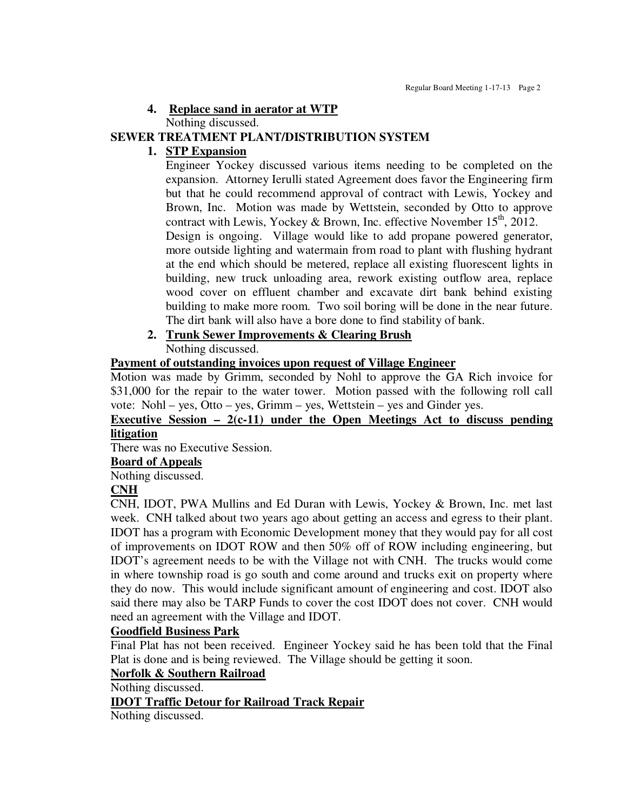## **4. Replace sand in aerator at WTP**

Nothing discussed.

# **SEWER TREATMENT PLANT/DISTRIBUTION SYSTEM**

# **1. STP Expansion**

Engineer Yockey discussed various items needing to be completed on the expansion. Attorney Ierulli stated Agreement does favor the Engineering firm but that he could recommend approval of contract with Lewis, Yockey and Brown, Inc. Motion was made by Wettstein, seconded by Otto to approve contract with Lewis, Yockey & Brown, Inc. effective November  $15<sup>th</sup>$ , 2012.

Design is ongoing. Village would like to add propane powered generator, more outside lighting and watermain from road to plant with flushing hydrant at the end which should be metered, replace all existing fluorescent lights in building, new truck unloading area, rework existing outflow area, replace wood cover on effluent chamber and excavate dirt bank behind existing building to make more room. Two soil boring will be done in the near future. The dirt bank will also have a bore done to find stability of bank.

## **2. Trunk Sewer Improvements & Clearing Brush**  Nothing discussed.

## **Payment of outstanding invoices upon request of Village Engineer**

Motion was made by Grimm, seconded by Nohl to approve the GA Rich invoice for \$31,000 for the repair to the water tower. Motion passed with the following roll call vote: Nohl – yes, Otto – yes, Grimm – yes, Wettstein – yes and Ginder yes.

## **Executive Session – 2(c-11) under the Open Meetings Act to discuss pending litigation**

There was no Executive Session.

## **Board of Appeals**

Nothing discussed.

## **CNH**

CNH, IDOT, PWA Mullins and Ed Duran with Lewis, Yockey & Brown, Inc. met last week. CNH talked about two years ago about getting an access and egress to their plant. IDOT has a program with Economic Development money that they would pay for all cost of improvements on IDOT ROW and then 50% off of ROW including engineering, but IDOT's agreement needs to be with the Village not with CNH. The trucks would come in where township road is go south and come around and trucks exit on property where they do now. This would include significant amount of engineering and cost. IDOT also said there may also be TARP Funds to cover the cost IDOT does not cover. CNH would need an agreement with the Village and IDOT.

## **Goodfield Business Park**

Final Plat has not been received. Engineer Yockey said he has been told that the Final Plat is done and is being reviewed. The Village should be getting it soon.

## **Norfolk & Southern Railroad**

Nothing discussed.

## **IDOT Traffic Detour for Railroad Track Repair**

Nothing discussed.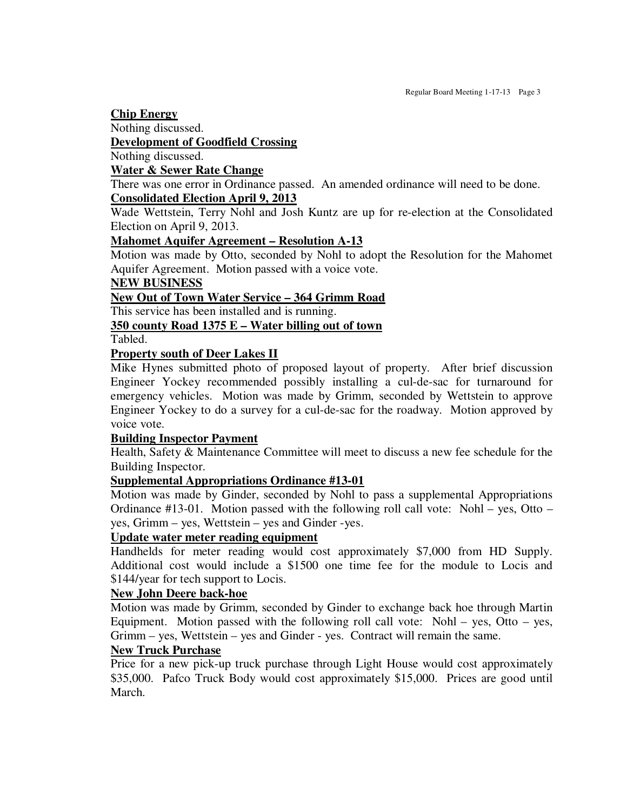#### **Chip Energy**

Nothing discussed.

#### **Development of Goodfield Crossing**

Nothing discussed.

#### **Water & Sewer Rate Change**

There was one error in Ordinance passed. An amended ordinance will need to be done. **Consolidated Election April 9, 2013** 

Wade Wettstein, Terry Nohl and Josh Kuntz are up for re-election at the Consolidated Election on April 9, 2013.

## **Mahomet Aquifer Agreement – Resolution A-13**

Motion was made by Otto, seconded by Nohl to adopt the Resolution for the Mahomet Aquifer Agreement. Motion passed with a voice vote.

## **NEW BUSINESS**

## **New Out of Town Water Service – 364 Grimm Road**

This service has been installed and is running.

# **350 county Road 1375 E – Water billing out of town**

Tabled.

## **Property south of Deer Lakes II**

Mike Hynes submitted photo of proposed layout of property. After brief discussion Engineer Yockey recommended possibly installing a cul-de-sac for turnaround for emergency vehicles. Motion was made by Grimm, seconded by Wettstein to approve Engineer Yockey to do a survey for a cul-de-sac for the roadway. Motion approved by voice vote.

#### **Building Inspector Payment**

Health, Safety & Maintenance Committee will meet to discuss a new fee schedule for the Building Inspector.

#### **Supplemental Appropriations Ordinance #13-01**

Motion was made by Ginder, seconded by Nohl to pass a supplemental Appropriations Ordinance #13-01. Motion passed with the following roll call vote: Nohl – yes, Otto – yes, Grimm – yes, Wettstein – yes and Ginder -yes.

#### **Update water meter reading equipment**

Handhelds for meter reading would cost approximately \$7,000 from HD Supply. Additional cost would include a \$1500 one time fee for the module to Locis and \$144/year for tech support to Locis.

#### **New John Deere back-hoe**

Motion was made by Grimm, seconded by Ginder to exchange back hoe through Martin Equipment. Motion passed with the following roll call vote: Nohl – yes, Otto – yes, Grimm – yes, Wettstein – yes and Ginder - yes. Contract will remain the same.

#### **New Truck Purchase**

Price for a new pick-up truck purchase through Light House would cost approximately \$35,000. Pafco Truck Body would cost approximately \$15,000. Prices are good until March.